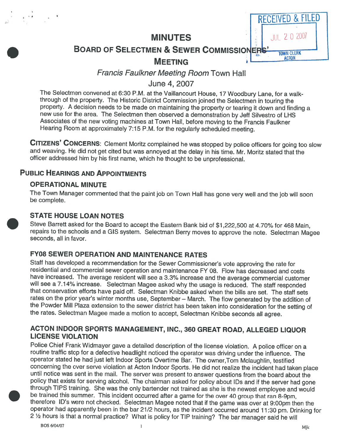

BOARD OF SELECTMEN & SEWER COMMISSIONERS' TOWN CLERK

# MEETING **b** C<sub>ACTON</sub>

# Francis Faulkner Meeting Room Town Hall

June 4, 2007

The Selectmen convened at 6:30 P.M. at the Vaillancourt House, <sup>17</sup> Woodbury Lane, for <sup>a</sup> walk- through of the property. The Historic District Commission joined the Selectmen in touring the property. A decision needs to be made on maintaining the property or tearing it down and finding a<br>new use for the area. The Selectmen then observed a demonstration by Jeff Silvestro of LHS Associates of the new voting machines at Town Hall, before moving to the Francis Faulkner Hearing Room at approximately 7:15 P.M. for the regularly scheduled meeting.

CITIZENS' CONCERNS: Clement Moritz complained he was stopped by police officers for going too slow and weaving. He did not get cited but was annoyed at the delay in his time. Mr. Moritz stated that the officer addressed him by his first name, which he thought to be unprofessional.

## PUBLIC HEARINGS AND APPOINTMENTS

## OPERATIONAL MINUTE

The Town Manager commented that the paint job on Town Hall has gone very well and the job will soon be complete.

## STATE HOUSE LOAN NOTES

Steve Barrett asked for the Board to accept the Eastern Bank bid of \$1 ,222,500 at 4.70% for <sup>468</sup> Main, repairs to the schools and a GIS system. Selectman Berry moves to approve the note. Selectman Magee<br>seconds, all in favor.

## FY08 SEWER OPERATION AND MAINTENANCE RATES

Staff has developed a recommendation for the Sewer Commissioner's vote approving the rate for<br>residential and commercial sewer operation and maintenance FY 08. Flow has decreased and costs<br>have increased. The average resid will see a 7.14% increase. Selectman Magee asked why the usage is reduced. The staff responded that conservation efforts have paid off. Selectman Knibbe asked when the bills are set. The staff sets rates on the prior year' the Powder Mill Plaza extension to the sewer district has been taken into consideration for the setting of the rates. Selectman Magee made <sup>a</sup> motion to accept, Selectman Knibbe seconds all agree.

#### ACTON INDOOR SPORTS MANAGEMENT, INC., <sup>360</sup> GREAT ROAD, ALLEGED LIQUOR LICENSE VIOLATION

Police Chief Frank Widmayer gave a detailed description of the license violation. A police officer on a routine traffic stop for a defective headlight noticed the operator was driving under the influence. The operator stat concerning the over serve violation at Acton Indoor Sports. He did not realize the incident had taken place until notice was sent in the mail. The server was present to answer questions from the board about the policy that through TIPS training. She was the only bartender not trained as she is the newest employee and would<br>be trained this summer. This incident occurred after a game for the over 40 group that ran 8-9pm,<br>therefore ID's were no 2 1/2 hours is that a normal practice? What is policy for TIP training? The bar manager said he will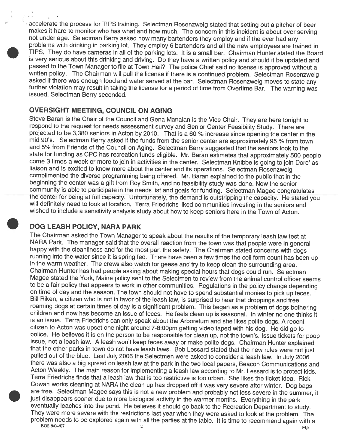accelerate the process for TIPS training. Selectman Rosenzweig stated that setting out <sup>a</sup> pitcher of beer makes it hard to monitor who has what and how much. The concern in this incident is about over serving<br>not under age. Selectman Berry asked how many bartenders they employ and if the ever had any problems with drinking in parking lot. They employ 6 bartenders and all the new employees are trained in TIPS. They do have cameras in all of the parking lots. It is <sup>a</sup> small bar. Chairman Hunter stated the Board is very serious about this drinking and driving. Do they have <sup>a</sup> written policy and should it be updated and passed to the Town Manager to file at Town Hall? The police Chief said no license is approved without a written policy. The Chairman will pull the license if there is a continued problem. Selectman Rosenzweig<br>asked if there was enough food and water served at the bar. Selectman Rosenzweig moves to state any written policy. The Chairman will pull the license if there is a continued problem. Selectman Rosenzweig<br>asked if there was enough food and water served at the bar. Selectman Rosenzweig moves to state any<br>further viola further violation may result in taking the license for a period of time from Overtime Bar. The warning was<br>issued, Selectman Berry seconded.

#### OVERSIGHT MEETING, COUNCIL ON AGING

Steve Baran is the Chair of the Council and Gena Manalan is the Vice Chair. They are here tonight to respond to the request for needs assessment survey and Senior Center Feasibility Study. There are respond to the request for needs assessment survey and Senior Center Feasibility Study. There are<br>projected to be 3,380 seniors in Acton by 2010. That is a 60 % increase since opening the center in projected to be 3,380 seniors in Acton by 2010. That is a 60 % increase since opening the center in the<br>mid 90's. Selectman Berry asked if the funds from the senior center are approximately 95 % from town and 5% from Friends of the Council on Aging. Selectman Berry suggested that the seniors look to the state for funding as CPC has recreation funds eligible. Mr. Baran estimates that approximately <sup>500</sup> people come 3 times a week or more to join in activities in the center. Selectman Knibbe is going to join Dore' as liaison and is excited to know more about the center and its operations. Selectman Rosenzweig complimented the diverse programming being offered. Mr. Baran explained to the public that in the beginning the center was <sup>a</sup> <sup>g</sup>ift from Roy Smith, and no feasibility study was done. Now the senior community is able to participate in the needs list and goals for funding. Selectman Magee congratulates<br>the center for being at full capacity. Unfortunately, the demand is outstripping the capacity. He stated you<br>will defi wished to include <sup>a</sup> sensitivity analysis study about how to keep seniors here in the Town of Acton.

#### DOG LEASH POLICY, NARA PARK

The Chairman asked the Town Manager to speak about the results of the temporary leash law test at<br>NARA Park. The manager said that the overall reaction from the town was that people were in general<br>happy with the cleanline in the warm weather. The crews also watch for geese and try to keep clean the surrounding area. Chairman Hunter has had people asking about making special hours that dogs could run. Selectman Magee stated the York, Maine policy sent to the Selectmen to review from the animal control officer seems to be <sup>a</sup> fair policy that appears to work in other communities. Regulations in the policy change depending on time of day and the season. The town should not have to spend substantial monies to pick up feces.<br>Bill Riken, a citizen who is not in favor of the leash law, is surprised to hear that droppings and free Bill Riken, a citizen who is not in favor of the leash law, is surprised to hear that droppings and free<br>roaming dogs at certain times of day is a significant problem. This began as a problem of dogs bot children and now has become an issue of feces. He feels clean up is seasonal. In winter no one thinks it is an issue. Terra Friedrichs can only speak about the Arboretum and she likes polite dogs. A recent citizen to Acton was upset one night around 7-8:OOpm getting video taped with his dog. He did go to police. He believes it is on the person to be responsible for clean up, not the town's. Issue tickets for poop issue, not a leash law. A leash won't keep feces away or make polite dogs. Chairman Hunter explained that the other parks in town do not have leash laws. Bob Lessard stated that the new rules were not just pulled out of the blue. Last July 2006 the Selectmen were asked to consider a leash law. In July 2006<br>there was also a big spread on leash law at the park in the two local papers. Beacon Communications there was also a big spread on leash law at the park in the two local papers, Beacon Communications and Acton Weekly. The main reason for implementing <sup>a</sup> leash law according to Mr. Lessard is to protect kids. Terra Friedrichs finds that a leash law that is too restrictive is too urban. She likes the ticket idea. Rick Cowan works cleaning at NARA the clean up has dropped off it was very severe after winter. Dog bags are free. Selectman Magee says this is not a new problem and probably not less severe in the summer, it just disappears sooner due to more biological activity in the warmer months. Everything in the park<br>eventually leaches into the pond. He believes it should go back to the Recreation Department to study.<br>They were more sev problem needs to be explored again with all the parties at the table. It is time to recommend again with a  $BOS 6/04/07$  Mik

•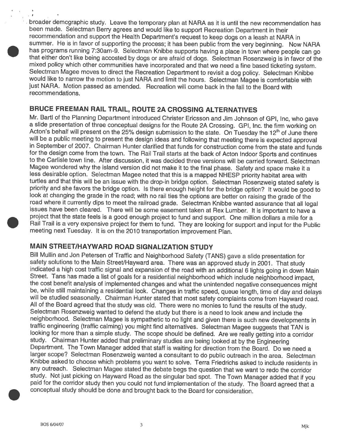broader demographic study. Leave the temporary <sup>p</sup>lan at NARA as it is until the new recommendation has been made. Selectman Berry agrees and would like to support Recreation Department in their recommendation and support the Health Department's request to keep dogs on <sup>a</sup> leash at NARA in summer. He is in favor of supporting the process; it has been public from the very beginning. Now NARA has programs running 7:30am-9. Selectman Knibbe supports having a place in town where people can go that either don't like being accosted by dogs or are afraid of dogs. Selectman Rosenzweig is in favor of the mixed policy which other communities have incorporated and that we need a fine based ticketing system. Selectman Magee moves to direct the Recreation Department to revisit a dog policy. Selectman Knibbe would like to narrow the motion to just NARA and limit the hours. Selectman Magee is comfortable with just NARA. Motion passed as amended. Recreation will come back in the fall to the Board with recommendations.

#### BRUCE FREEMAN RAIL TRAIL, ROUTE 2A CROSSING ALTERNATIVES

Mr. Bartl of the Planning Department introduced Christer Ericsson and Jim Johnson of GPI, Inc, who gave a slide presentation of three conceptual designs for the Route 2A Crossing. GPI, Inc. the firm working on Acton's behalf will present on the 25% design submission to the state. On Tuesday the 12<sup>th</sup> of June there will be a in September of 2007. Chairman Hunter clarified that funds for construction come from the state and funds for the design come from the town. The Rail Trail starts at the back of Acton Indoor Sports and continues to the Carlisle town line. After discussion, it was decided three versions will be carried forward. Selectman Magee wondered why the island version did not make it to the final <sup>p</sup>hase. Safety and space make it a less desirable option. Selectman Magee noted that this is a mapped NHESP priority habitat area with turtles and that this will be an issue with the drop-in bridge option. Selectman Rosenzweig stated safety is priority and she favors the bridge option. Is there enough height for the bridge option? It would be good to priority and she favors the bridge option. Is there enough height for the bridge option? It would be good to<br>look at changing the grade in the road; with no rail ties the options are better on raising the grade of the<br>road project that the state feels is a good enough project to fund and support. One million dollars a mile for a Rail Trail is a very expensive project for them to fund. They are looking for support and input for the Public<br>meeting next Tuesday. It is on the 2010 transportation improvement Plan.

#### MAIN STREET/HAYWARD ROAD SIGNALIZATION STUDY

Bill Mullin and Jon Petersen of Traffic and Neighborhood Safety (TANS) gave safety solutions to the Main Street/Hayward area. There was an approved study in 2001. That study indicated a high cost traffic signal and expansion of the road with an additional 6 lights going in down Main Street. Tans has made a list of goals for a residential neighborhood which include neighborhood impact, the cost benefit analysis of implemented changes and what the unintended negative consequences might be, while still maintaining a residential look. Changes in traffic speed, queue length, time of day and delays be, while still maintaining a residential look. Changes in traffic speed, queue length, time of day and delays<br>will be studied seasonally. Chairman Hunter stated that most safety complaints come from Hayward road.<br>All of neighborhood. Selectman Magee is sympathetic to no light and given there is such new developments in<br>traffic engineering (traffic calming) you might find alternatives. Selectman Magee suggests that TAN is <sup>a</sup> simple study. The scope should be defined. Are we really getting into <sup>a</sup> corridor study. Chairman Hunter added that preliminary studies are being looked at by the Engineering<br>Department. The Town Manager added that staff is waiting for direction from the Board. Do we need a larger scope? Selectman Rosenzweig wanted <sup>a</sup> consultant to do public outreach in the area. Selectman Knibbe asked to choose which problems you want to solve. Terra Friedrichs asked to include residents in any outreach. Selectman Magee stated the debate begs the question that we want to redo the corridor study. Not just <sup>p</sup>icking on Hayward Road as the singular bad spot. The Town Manager added that if you paid for the corridor study then you could not fund implementation of the study. The Board agreed that a conceptual study should be done and brought back to the Board for consideration.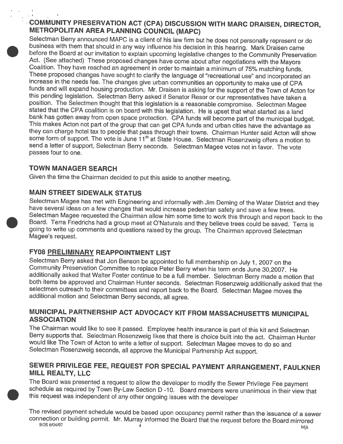## COMMUNITY PRESERVATION ACT (CPA) DISCUSSION WITH MARC DRAISEN, DIRECTOR, METROPOLITAN AREA PLANNING COUNCIL (MAPC)

Selectman Berry announced MAPC is a client of his law firm but he does not personally represent or do business with them that should in any way influence his decision in this hearing. Mark Draisen came before the Board at our invitation to explain upcoming legislative changes to the Community Preservation<br>Act. (See attached) These proposed changes have come about after negotiations with the Mayors<br>Coalition. They have re stated that the CPA coalition is on board with this legislation. He is upset that what started as a land<br>bank has gotten away from open space protection. CPA funds will become part of the municipal budget.<br>This makes Acton send a letter of support, Selectman Berry seconds. Selectman Magee votes not in favor. The vote passes four to one.

#### TOWN MANAGER SEARCH

•

and the com-

Given the time the Chairman decided to put this aside to another meeting.

## MAIN STREET SIDEWALK STATUS

Selectman Magee has met with Engineering and informally with Jim Deming of the Water District and they<br>have several ideas on a few changes that would increase pedestrian safety and save a few trees.<br>Selectman Magee request going to write up comments and questions raised by the group. The Chairman approved Selectman Magee's request.

## FY08 PRELIMINARY REAPPOINTMENT LIST

Selectman Berry asked that Jon Benson be appointed to full membership on July 1, 2007 on the<br>Community Preservation Committee to replace Peter Berry when his term ends June 30,2007. He<br>additionally asked that Walter Foster

## MUNICIPAL PARTNERSHIP ACT ADVOCACY KIT FROM MASSACHUSETTS MUNICIPAL ASSOCIATION

The Chairman would like to see it passed. Employee health insurance is part of this kit and Selectman Berry supports that. Selectman Rosenzweig likes that there is choice built into the act. Chairman Hunter would like The Town of Acton to write <sup>a</sup> letter of support. Selectman Magee moves to do so and Selectman Rosenzweig seconds, all approve the Municipal Partnership Act support.

## SEWER PRIVILEGE FEE, REQUEST FOR SPECIAL PAYMENT ARRANGEMENT, FAULKNER MILL REALTY, LLC

The Board was presented a request to allow the developer to modify the Sewer Privilege Fee payment schedule as required by Town By-Law Section D -10. Board members were unanimous in their view that this request was indepen

The revised payment schedule would be based upon occupancy permit rather than the issuance of a sewer connection or building permit. Mr. Murray informed the Board that the request before the Board mirrored BOS 6/04/07  $\frac$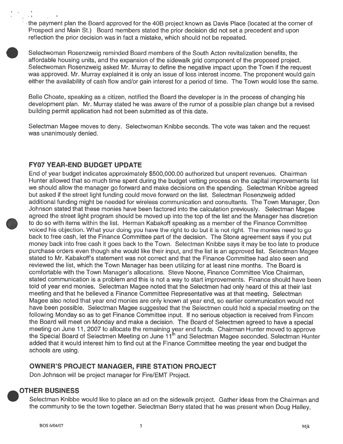• the paymen<sup>t</sup> plan the Board approved for the 40B project known as Davis Place (located at the corner of Prospect and Main St.) Board members stated the prior decision did not set <sup>a</sup> precedent and upon reflection the prior decision was in fact <sup>a</sup> mistake, which should not be repeated.

Selectwoman Rosenzweig reminded Board members of the South Acton revitalization benefits, the affordable housing units, and the expansion of the sidewalk grid componen<sup>t</sup> of the proposed project. Selectwoman Rosenzweig asked Mr. Murray to define the negative impact upon the Town if the reques<sup>t</sup> was approved. Mr. Murray explained it is only an issue of loss interest income. The proponen<sup>t</sup> would gain either the availability of cash flow and/or gain interest for <sup>a</sup> period of time. The Town would lose the same.

Belle Choate, speaking as <sup>a</sup> citizen, notified the Board the developer is in the process of changing his development <sup>p</sup>lan. Mr. Murray stated he was aware of the rumor of <sup>a</sup> possible <sup>p</sup>lan change but <sup>a</sup> revised building permit application had not been submitted as of this date.

Selectman Magee moves to deny. Selectwoman Knibbe seconds. The vote was taken and the reques<sup>t</sup> was unanimously denied.

#### FY07 YEAR-END BUDGET UPDATE

End of year budget indicates approximately \$500,000.00 authorized but unspen<sup>t</sup> revenues. Chairman Hunter allowed that so much time spen<sup>t</sup> during the budget vetting process on the capital improvements list we should allow the manager go forward and make decisions on the spending. Selectman Knibbe agreed but asked if the street light funding could move forward on the list. Selectman Rosenzweig added additional funding might be needed for wireless communication and consultants. The Town Manager, Don Johnson stated that these monies have been factored into the calculation previously. Selectman Magee agreed the street light program should be moved up into the top of the list and the Manager has discretion to do so with items within the list. Herman Kabakoff speaking as <sup>a</sup> member of the Finance Committee voiced his objection. What your doing you have the right to do but it is not right. The monies need to go back to free cash, let the Finance Committee par<sup>t</sup> of the decision. The Stone agreemen<sup>t</sup> says if you pu<sup>t</sup> money back into free cash it goes back to the Town. Selectman Knibbe says it may be too late to produce purchase orders even though she would like their input, and the list is an approved list. Selectman Magee stated to Mr. Kabakoff's statement was not correct and that the Finance Committee had also seen and reviewed the list, which the Town Manager has been utilizing for at least nine months. The Board is comfortable with the Town Manager's allocations. Steve Noone, Finance Committee Vice Chairman, stated communication is <sup>a</sup> problem and this is not <sup>a</sup> way to start improvements. Finance should have been told of year end monies. Selectman Magee noted that the Selectmen had only heard of this at their last meeting and that he believed <sup>a</sup> Finance Committee Representative was at that meeting. Selectman Magee also noted that year end monies are only known at year end, so earlier communication would not have been possible. Selectman Magee suggested that the Selectmen could hold <sup>a</sup> special meeting on the following Monday so as to ge<sup>t</sup> Finance Committee input, If no serious objection is received from Fincom the Board will meet on Monday and make <sup>a</sup> decision. The Board of Selectmen agreed to have <sup>a</sup> special meeting on June 11, <sup>2007</sup> to allocate the remaining year end funds. Chairman Hunter moved to approve the Special Board of Selectmen Meeting on June 11<sup>th</sup> and Selectman Magee seconded. Selectman Hunter added that it would interest him to find out at the Finance Committee meeting the year end budget the schools are using.

#### OWNER'S PROJECT MANAGER, FIRE STATION PROJECT

Don Johnson will be project manager for Fire/EMT Project.

#### .OTHER BUSINESS

Selectman Knibbe would like to place an ad on the sidewalk project. Gather ideas from the Chairman and the community to tie the town together. Selectman Berry stated that he was presen<sup>t</sup> when Doug Halley,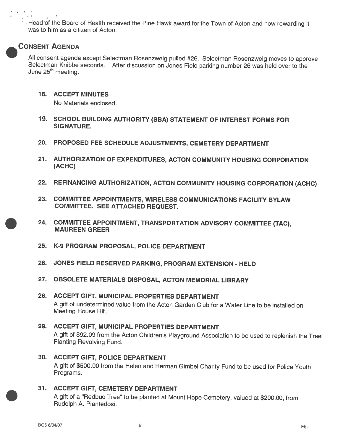• Head of the Board of Health received the Pine Hawk award for the Town of Acton and how rewarding it was to him as <sup>a</sup> citizen of Acton.

#### .CONSENT AGENDA

All consent agenda excep<sup>t</sup> Selectman Rosenzweig pulled #26. Selectman Rosenzweig moves to approve Selectman Knibbe seconds. After discussion on Jones Field parking number <sup>26</sup> was held over to the June  $25<sup>th</sup>$  meeting.

18. ACCEPT MINUTES

No Materials enclosed.

- 19. SCHOOL BUILDING AUTHORITY (SBA) STATEMENT OF INTEREST FORMS FOR SIGNATURE.
- 20. PROPOSED FEE SCHEDULE ADJUSTMENTS, CEMETERY DEPARTMENT
- 21. AUTHORIZATION OF EXPENDITURES, ACTON COMMUNITY HOUSING CORPORATION (ACHC)
- 22. REFINANCING AUTHORIZATION, ACTON COMMUNITY HOUSING CORPORATION (ACHC)
- 23. COMMITTEE APPOINTMENTS, WIRELESS COMMUNICATIONS FACILITY BYLAW COMMITTEE. SEE ATTACHED REQUEST.
- 24. COMMITTEE APPOINTMENT, TRANSPORTATION ADVISORY COMMITTEE (TAC), MAUREEN GREER
- 25. K-9 PROGRAM PROPOSAL, POLICE DEPARTMENT
- 26. JONES FIELD RESERVED PARKING, PROGRAM EXTENSION HELD
- 27. OBSOLETE MATERIALS DISPOSAL, ACTON MEMORIAL LIBRARY
- 28. ACCEPT GIFT, MUNICIPAL PROPERTIES DEPARTMENT A gift of undetermined value from the Acton Garden Club for <sup>a</sup> Water Line to be installed on Meeting House Hill.

#### 29. ACCEPT GIFT, MUNICIPAL PROPERTIES DEPARTMENT <sup>A</sup> <sup>g</sup>ift of \$92.09 from the Acton Children's Playground Association to be used to replenish the Tree Planting Revolving Fund.

- 30. ACCEPT GIFT, POLICE DEPARTMENT <sup>A</sup> <sup>g</sup>ift of \$500.00 from the Helen and Herman Gimbel Charity Fund to be used for Police Youth Programs.
- 31. ACCEPT GIFT, CEMETERY DEPARTMENT

<sup>A</sup> <sup>g</sup>ift of <sup>a</sup> "Redbud Tree" to be <sup>p</sup>lanted at Mount Hope Cemetery, valued at \$200.00, from Rudolph A. Piantedosi.